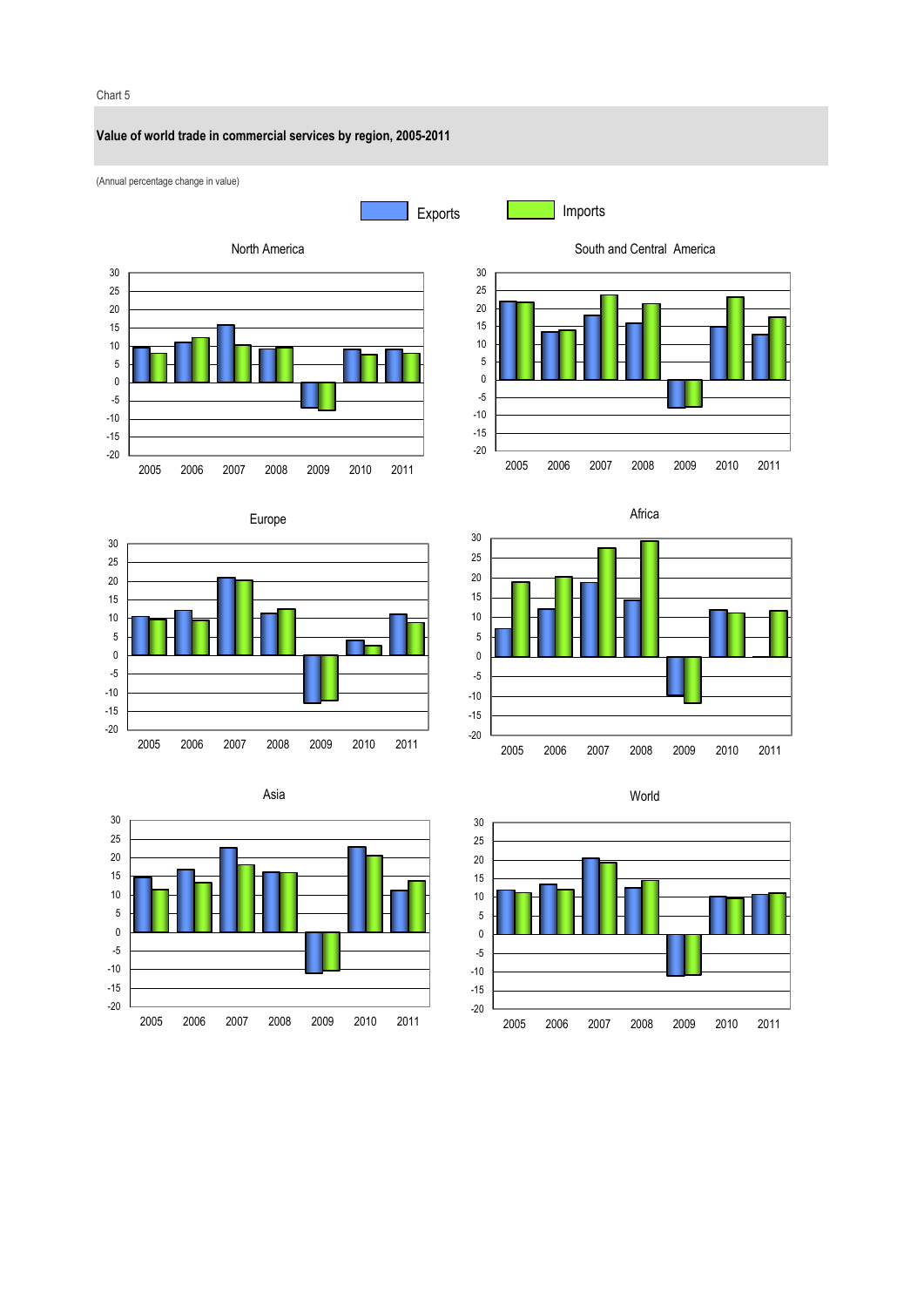## Chart 5

### **Value of world trade in commercial services by region, 2005-2011**





Exports **Imports** 















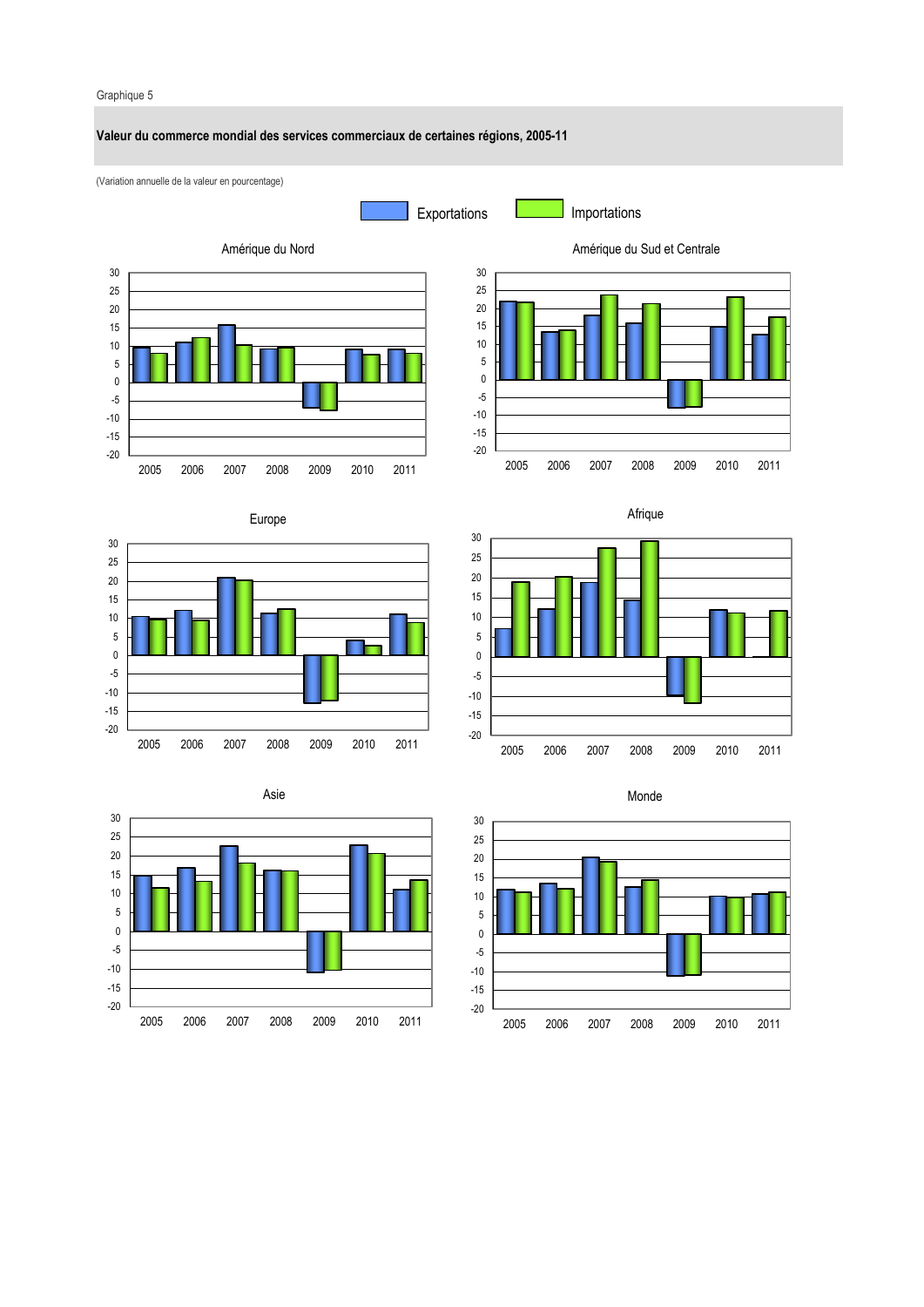### Graphique 5

### **Valeur du commerce mondial des services commerciaux de certaines régions, 2005-11**

(Variation annuelle de la valeur en pourcentage)



Exportations **Importations** 















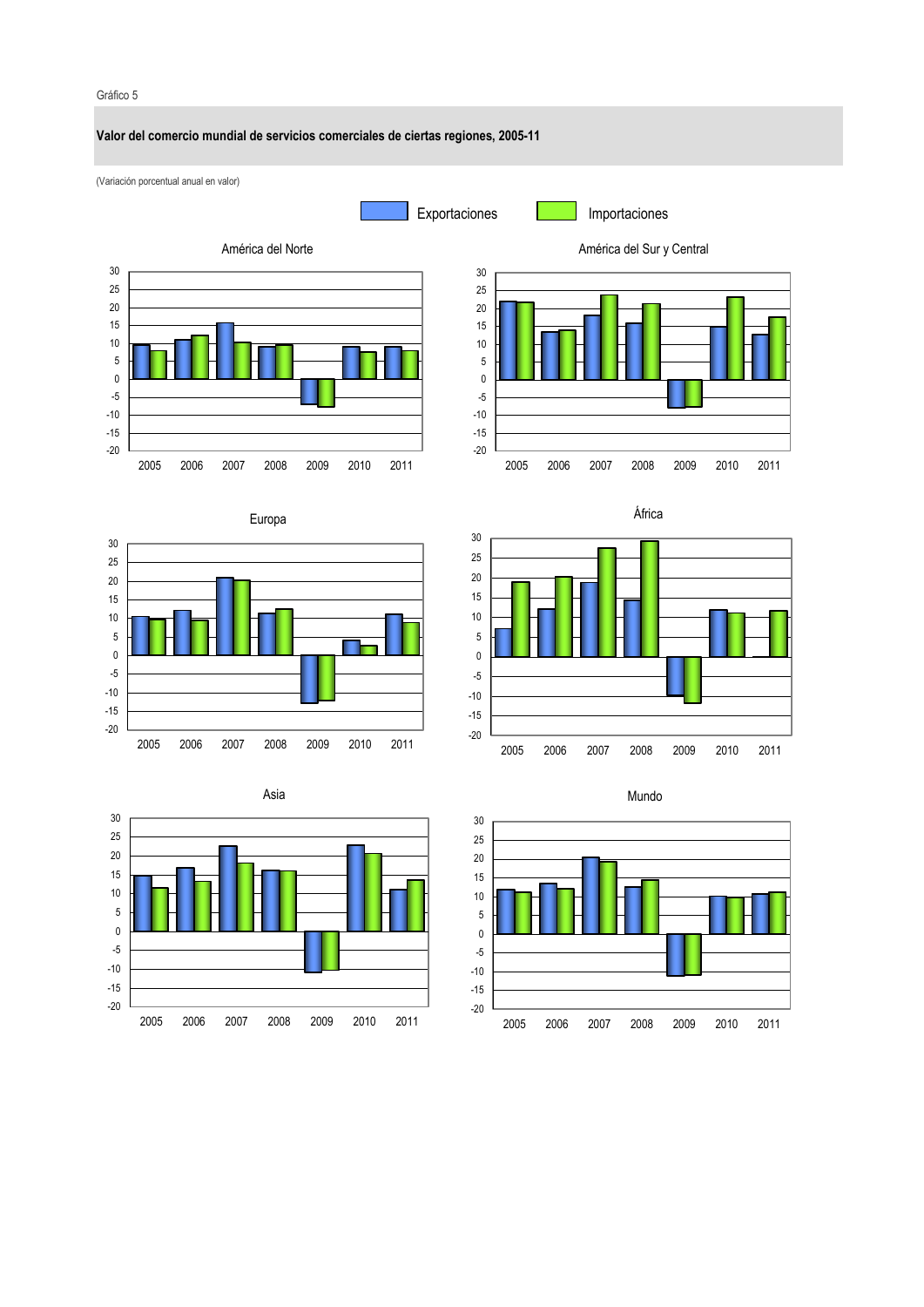#### Gráfico 5 (Variación porcentual anual en valor) **Valor del comercio mundial de servicios comerciales de ciertas regiones, 2005-11** -20 -15 -10 -5 0 5 10 15 20 25 30 2005 2006 2007 2008 2009 2010 2011 América del Norte -20 -15 -10 -5  $\mathbf 0$ 5 10 15 20 25 30 2005 2006 2007 2008 2009 2010 2011 América del Sur y Central -20 -15 -10 -5 0 5 10 15 20 25 30 2005 2006 2007 2008 2009 2010 2011 Europa -20 -15 -10 -5  $\overline{0}$ 5 10 15 20 25 30 2005 2006 2007 2008 2009 2010 2011 África 25 30 Asia 25 30 Mundo Exportaciones Importaciones



-20 -15 -10 -5 0 5 10 15 20 2005 2006 2007 2008 2009 2010 2011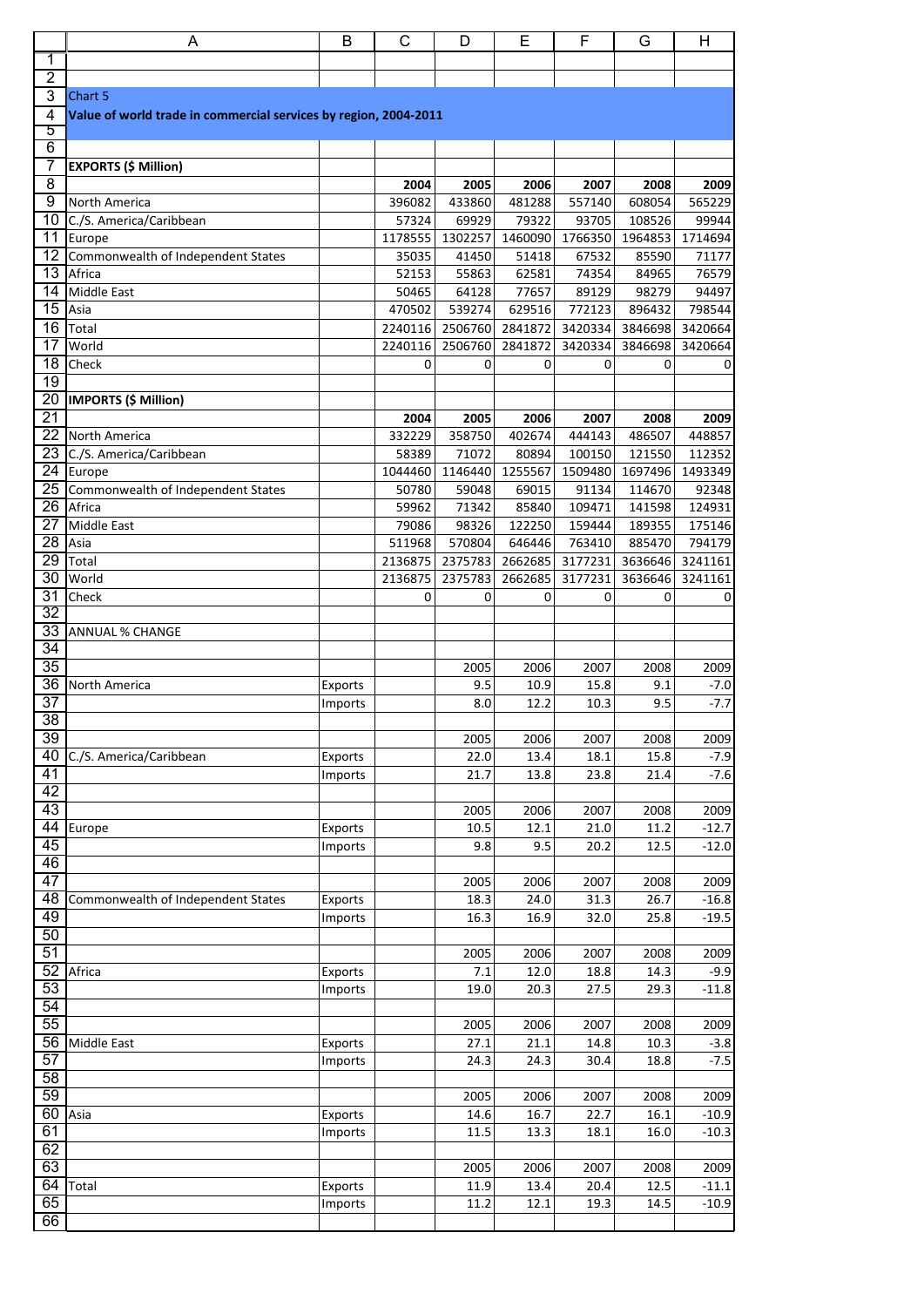|                                    | Α                                                                           | B       | C                | D                | Е                | F                | G                 | H                |  |
|------------------------------------|-----------------------------------------------------------------------------|---------|------------------|------------------|------------------|------------------|-------------------|------------------|--|
| $\overline{1}$                     |                                                                             |         |                  |                  |                  |                  |                   |                  |  |
| $\overline{2}$                     |                                                                             |         |                  |                  |                  |                  |                   |                  |  |
| 3<br>4                             | Chart 5<br>Value of world trade in commercial services by region, 2004-2011 |         |                  |                  |                  |                  |                   |                  |  |
| 5                                  |                                                                             |         |                  |                  |                  |                  |                   |                  |  |
| 6                                  |                                                                             |         |                  |                  |                  |                  |                   |                  |  |
| 7                                  | <b>EXPORTS (\$ Million)</b>                                                 |         |                  |                  |                  |                  |                   |                  |  |
| $\overline{8}$                     |                                                                             |         | 2004             | 2005             | 2006             | 2007             | 2008              | 2009             |  |
| $\overline{9}$<br>$\overline{10}$  | North America                                                               |         | 396082           | 433860           | 481288           | 557140           | 608054            | 565229           |  |
| $\overline{11}$                    | C./S. America/Caribbean<br>Europe                                           |         | 57324<br>1178555 | 69929<br>1302257 | 79322<br>1460090 | 93705<br>1766350 | 108526<br>1964853 | 99944<br>1714694 |  |
| $\overline{12}$                    | Commonwealth of Independent States                                          |         | 35035            | 41450            | 51418            | 67532            | 85590             | 71177            |  |
| $\overline{13}$                    | Africa                                                                      |         | 52153            | 55863            | 62581            | 74354            | 84965             | 76579            |  |
| 14                                 | Middle East                                                                 |         | 50465            | 64128            | 77657            | 89129            | 98279             | 94497            |  |
| $\overline{15}$                    | Asia                                                                        |         | 470502           | 539274           | 629516           | 772123           | 896432            | 798544           |  |
| 16                                 | <b>Total</b>                                                                |         | 2240116          | 2506760          | 2841872          | 3420334          | 3846698           | 3420664          |  |
| 17                                 | World                                                                       |         | 2240116          | 2506760          | 2841872          | 3420334          | 3846698           | 3420664          |  |
| $\overline{18}$<br>19              | Check                                                                       |         | 0                | 0                | $\mathbf 0$      | 0                | 0                 | $\mathbf 0$      |  |
| $\overline{20}$                    | <b>IMPORTS (\$ Million)</b>                                                 |         |                  |                  |                  |                  |                   |                  |  |
| $\overline{21}$                    |                                                                             |         | 2004             | 2005             | 2006             | 2007             | 2008              | 2009             |  |
| $\overline{22}$                    | North America                                                               |         | 332229           | 358750           | 402674           | 444143           | 486507            | 448857           |  |
| 23                                 | C./S. America/Caribbean                                                     |         | 58389            | 71072            | 80894            | 100150           | 121550            | 112352           |  |
| $\overline{24}$                    | Europe                                                                      |         | 1044460          | 1146440          | 1255567          | 1509480          | 1697496           | 1493349          |  |
| 25                                 | Commonwealth of Independent States                                          |         | 50780            | 59048            | 69015            | 91134            | 114670            | 92348            |  |
| $\overline{26}$<br>$\overline{27}$ | Africa<br>Middle East                                                       |         | 59962            | 71342<br>98326   | 85840            | 109471           | 141598            | 124931           |  |
| $\overline{28}$                    | Asia                                                                        |         | 79086<br>511968  | 570804           | 122250<br>646446 | 159444<br>763410 | 189355<br>885470  | 175146<br>794179 |  |
| $\overline{29}$                    | Total                                                                       |         | 2136875          | 2375783          | 2662685          | 3177231          | 3636646           | 3241161          |  |
| $\overline{30}$                    | World                                                                       |         | 2136875          | 2375783          | 2662685          | 3177231          | 3636646           | 3241161          |  |
| $\overline{31}$                    | Check                                                                       |         | 0                | 0                | $\mathbf 0$      | 0                | 0                 | 0                |  |
| 32                                 |                                                                             |         |                  |                  |                  |                  |                   |                  |  |
| 33                                 | <b>ANNUAL % CHANGE</b>                                                      |         |                  |                  |                  |                  |                   |                  |  |
| 34<br>$\overline{35}$              |                                                                             |         |                  | 2005             | 2006             | 2007             | 2008              | 2009             |  |
| 36                                 | North America                                                               | Exports |                  | 9.5              | 10.9             | 15.8             | 9.1               | $-7.0$           |  |
| $\overline{37}$                    |                                                                             | Imports |                  | $8.0\,$          | 12.2             | $10.3\,$         | 9.5               | $-7.7$           |  |
| $\overline{38}$                    |                                                                             |         |                  |                  |                  |                  |                   |                  |  |
| 39                                 |                                                                             |         |                  | 2005             | 2006             | 2007             | 2008              | 2009             |  |
| 40                                 | C./S. America/Caribbean                                                     | Exports |                  | 22.0             | 13.4             | 18.1             | 15.8              | $-7.9$           |  |
| $\overline{41}$                    |                                                                             | Imports |                  | 21.7             | 13.8             | 23.8             | 21.4              | $-7.6$           |  |
| 42<br>43                           |                                                                             |         |                  | 2005             | 2006             | 2007             | 2008              | 2009             |  |
| 44                                 | Europe                                                                      | Exports |                  | 10.5             | 12.1             | 21.0             | 11.2              | $-12.7$          |  |
| 45                                 |                                                                             | Imports |                  | 9.8              | 9.5              | 20.2             | 12.5              | $-12.0$          |  |
| 46                                 |                                                                             |         |                  |                  |                  |                  |                   |                  |  |
| 47                                 |                                                                             |         |                  | 2005             | 2006             | 2007             | 2008              | 2009             |  |
| $\overline{48}$                    | Commonwealth of Independent States                                          | Exports |                  | 18.3             | 24.0             | 31.3             | 26.7              | $-16.8$          |  |
| 49<br>50                           |                                                                             | Imports |                  | 16.3             | 16.9             | 32.0             | 25.8              | $-19.5$          |  |
| 51                                 |                                                                             |         |                  | 2005             | 2006             | 2007             | 2008              | 2009             |  |
| 52                                 | Africa                                                                      | Exports |                  | 7.1              | 12.0             | 18.8             | 14.3              | $-9.9$           |  |
| 53                                 |                                                                             | Imports |                  | 19.0             | 20.3             | 27.5             | 29.3              | $-11.8$          |  |
| 54                                 |                                                                             |         |                  |                  |                  |                  |                   |                  |  |
| 55                                 |                                                                             |         |                  | 2005             | 2006             | 2007             | 2008              | 2009             |  |
| 56                                 | Middle East                                                                 | Exports |                  | 27.1             | 21.1             | 14.8             | 10.3              | $-3.8$           |  |
| 57<br>58                           |                                                                             | Imports |                  | 24.3             | 24.3             | 30.4             | 18.8              | $-7.5$           |  |
| 59                                 |                                                                             |         |                  | 2005             | 2006             | 2007             | 2008              | 2009             |  |
| 60                                 | Asia                                                                        | Exports |                  | 14.6             | 16.7             | 22.7             | 16.1              | $-10.9$          |  |
| 61                                 |                                                                             | Imports |                  | 11.5             | 13.3             | 18.1             | 16.0              | $-10.3$          |  |
| 62                                 |                                                                             |         |                  |                  |                  |                  |                   |                  |  |
| 63                                 |                                                                             |         |                  | 2005             | 2006             | 2007             | 2008              | 2009             |  |
| 64                                 | Total                                                                       | Exports |                  | 11.9             | 13.4             | 20.4             | 12.5              | $-11.1$          |  |
| 65                                 |                                                                             | Imports |                  | 11.2             | 12.1             | 19.3             | 14.5              | $-10.9$          |  |
| 66                                 |                                                                             |         |                  |                  |                  |                  |                   |                  |  |